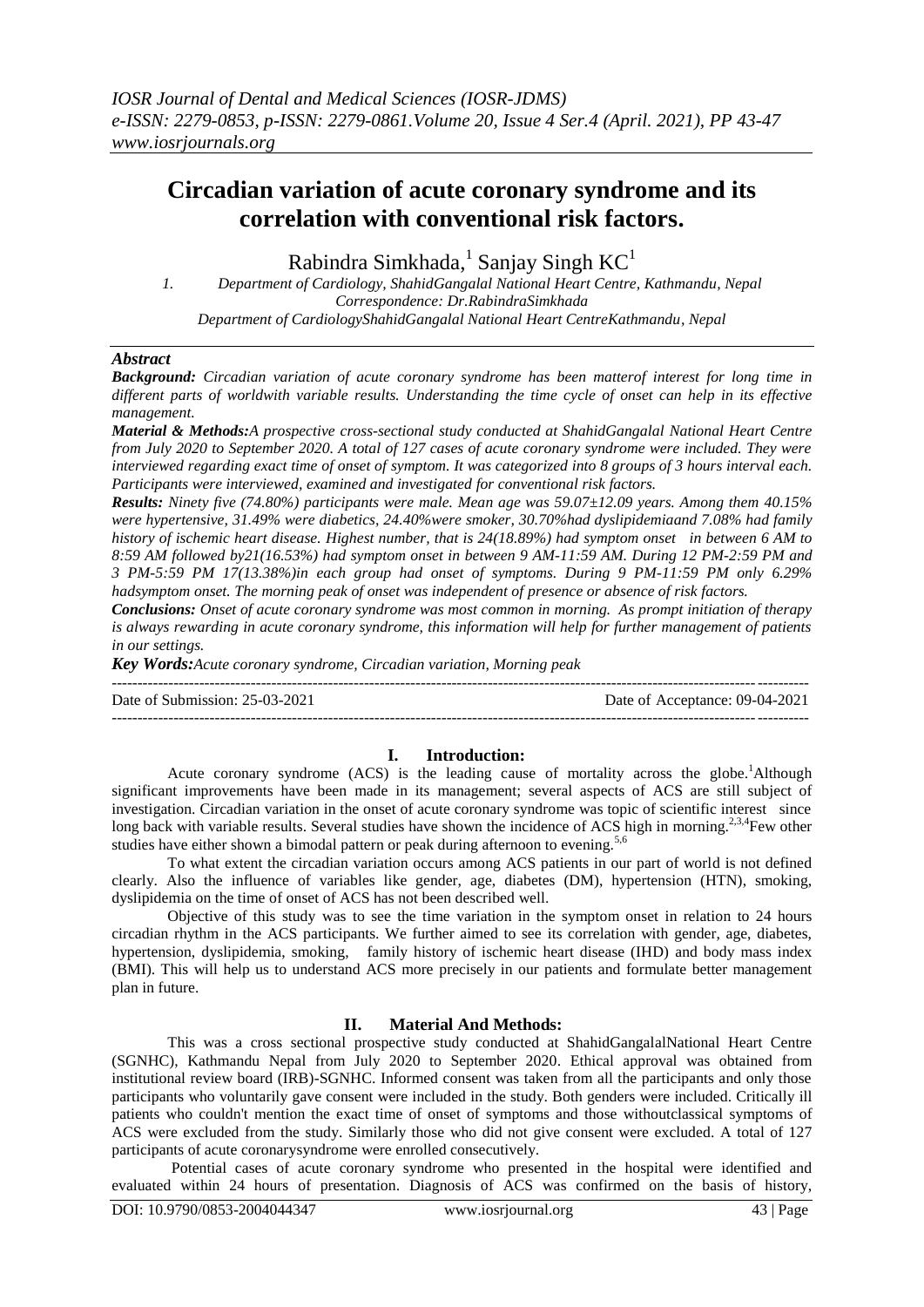# **Circadian variation of acute coronary syndrome and its correlation with conventional risk factors.**

Rabindra Simkhada,<sup>1</sup> Sanjay Singh  $KC<sup>1</sup>$ 

*1. Department of Cardiology, ShahidGangalal National Heart Centre, Kathmandu, Nepal Correspondence: Dr.RabindraSimkhada Department of CardiologyShahidGangalal National Heart CentreKathmandu, Nepal*

## *Abstract*

*Background: Circadian variation of acute coronary syndrome has been matterof interest for long time in different parts of worldwith variable results. Understanding the time cycle of onset can help in its effective management.*

*Material & Methods:A prospective cross-sectional study conducted at ShahidGangalal National Heart Centre from July 2020 to September 2020. A total of 127 cases of acute coronary syndrome were included. They were interviewed regarding exact time of onset of symptom. It was categorized into 8 groups of 3 hours interval each. Participants were interviewed, examined and investigated for conventional risk factors.*

*Results: Ninety five (74.80%) participants were male. Mean age was 59.07±12.09 years. Among them 40.15% were hypertensive, 31.49% were diabetics, 24.40%were smoker, 30.70%had dyslipidemiaand 7.08% had family history of ischemic heart disease. Highest number, that is 24(18.89%) had symptom onset in between 6 AM to 8:59 AM followed by21(16.53%) had symptom onset in between 9 AM-11:59 AM. During 12 PM-2:59 PM and 3 PM-5:59 PM 17(13.38%)in each group had onset of symptoms. During 9 PM-11:59 PM only 6.29% hadsymptom onset. The morning peak of onset was independent of presence or absence of risk factors.*

*Conclusions: Onset of acute coronary syndrome was most common in morning. As prompt initiation of therapy is always rewarding in acute coronary syndrome, this information will help for further management of patients in our settings.*

*Key Words:Acute coronary syndrome, Circadian variation, Morning peak* ---------------------------------------------------------------------------------------------------------------------------------------

Date of Submission: 25-03-2021 Date of Acceptance: 09-04-2021

 $-1-\frac{1}{2}$ 

## **I. Introduction:**

Acute coronary syndrome  $(ACS)$  is the leading cause of mortality across the globe.<sup>1</sup>Although significant improvements have been made in its management; several aspects of ACS are still subject of investigation. Circadian variation in the onset of acute coronary syndrome was topic of scientific interest since long back with variable results. Several studies have shown the incidence of ACS high in morning.<sup>2,3,4</sup>Few other studies have either shown a bimodal pattern or peak during afternoon to evening.<sup>5,6</sup>

To what extent the circadian variation occurs among ACS patients in our part of world is not defined clearly. Also the influence of variables like gender, age, diabetes (DM), hypertension (HTN), smoking, dyslipidemia on the time of onset of ACS has not been described well.

Objective of this study was to see the time variation in the symptom onset in relation to 24 hours circadian rhythm in the ACS participants. We further aimed to see its correlation with gender, age, diabetes, hypertension, dyslipidemia, smoking, family history of ischemic heart disease (IHD) and body mass index (BMI). This will help us to understand ACS more precisely in our patients and formulate better management plan in future.

## **II. Material And Methods:**

This was a cross sectional prospective study conducted at ShahidGangalalNational Heart Centre (SGNHC), Kathmandu Nepal from July 2020 to September 2020. Ethical approval was obtained from institutional review board (IRB)-SGNHC. Informed consent was taken from all the participants and only those participants who voluntarily gave consent were included in the study. Both genders were included. Critically ill patients who couldn't mention the exact time of onset of symptoms and those withoutclassical symptoms of ACS were excluded from the study. Similarly those who did not give consent were excluded. A total of 127 participants of acute coronarysyndrome were enrolled consecutively.

Potential cases of acute coronary syndrome who presented in the hospital were identified and evaluated within 24 hours of presentation. Diagnosis of ACS was confirmed on the basis of history,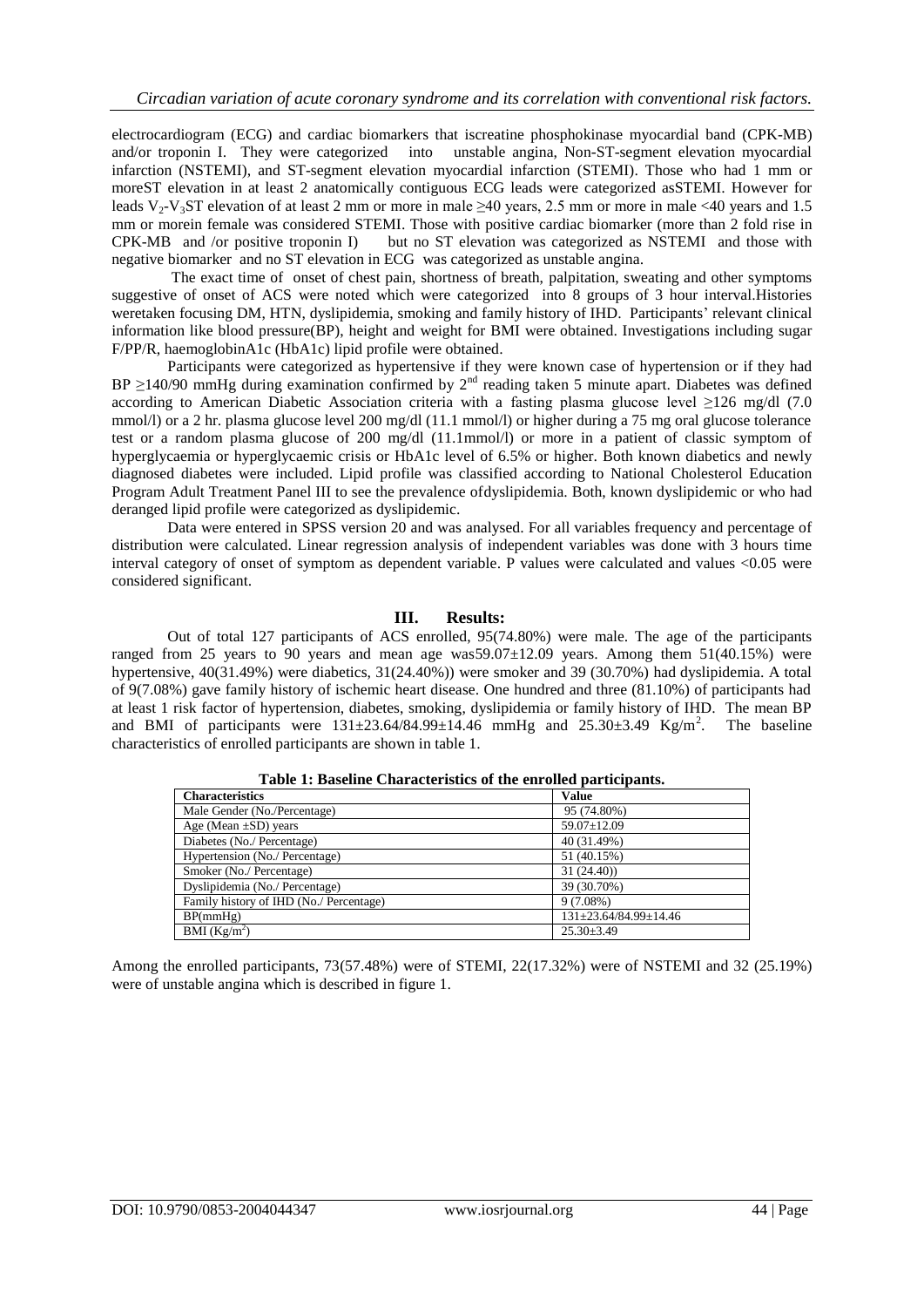electrocardiogram (ECG) and cardiac biomarkers that iscreatine phosphokinase myocardial band (CPK-MB) and/or troponin I. They were categorized into unstable angina, Non-ST-segment elevation myocardial infarction (NSTEMI), and ST-segment elevation myocardial infarction (STEMI). Those who had 1 mm or moreST elevation in at least 2 anatomically contiguous ECG leads were categorized asSTEMI. However for leads V<sub>2</sub>-V<sub>3</sub>ST elevation of at least 2 mm or more in male  $\geq$ 40 years, 2.5 mm or more in male <40 years and 1.5 mm or morein female was considered STEMI. Those with positive cardiac biomarker (more than 2 fold rise in CPK-MB and /or positive troponin I) but no ST elevation was categorized as NSTEMI and those with negative biomarker and no ST elevation in ECG was categorized as unstable angina.

The exact time of onset of chest pain, shortness of breath, palpitation, sweating and other symptoms suggestive of onset of ACS were noted which were categorized into 8 groups of 3 hour interval.Histories weretaken focusing DM, HTN, dyslipidemia, smoking and family history of IHD. Participants' relevant clinical information like blood pressure(BP), height and weight for BMI were obtained. Investigations including sugar F/PP/R, haemoglobinA1c (HbA1c) lipid profile were obtained.

Participants were categorized as hypertensive if they were known case of hypertension or if they had BP  $\geq$ 140/90 mmHg during examination confirmed by  $2<sup>nd</sup>$  reading taken 5 minute apart. Diabetes was defined according to American Diabetic Association criteria with a fasting plasma glucose level ≥126 mg/dl (7.0 mmol/l) or a 2 hr. plasma glucose level 200 mg/dl (11.1 mmol/l) or higher during a 75 mg oral glucose tolerance test or a random plasma glucose of 200 mg/dl (11.1mmol/l) or more in a patient of classic symptom of hyperglycaemia or hyperglycaemic crisis or HbA1c level of 6.5% or higher. Both known diabetics and newly diagnosed diabetes were included. Lipid profile was classified according to National Cholesterol Education Program Adult Treatment Panel III to see the prevalence ofdyslipidemia. Both, known dyslipidemic or who had deranged lipid profile were categorized as dyslipidemic.

Data were entered in SPSS version 20 and was analysed. For all variables frequency and percentage of distribution were calculated. Linear regression analysis of independent variables was done with 3 hours time interval category of onset of symptom as dependent variable. P values were calculated and values <0.05 were considered significant.

## **III. Results:**

Out of total 127 participants of ACS enrolled, 95(74.80%) were male. The age of the participants ranged from 25 years to 90 years and mean age was  $59.07 \pm 12.09$  years. Among them  $51(40.15%)$  were hypertensive, 40(31.49%) were diabetics, 31(24.40%)) were smoker and 39 (30.70%) had dyslipidemia. A total of 9(7.08%) gave family history of ischemic heart disease. One hundred and three (81.10%) of participants had at least 1 risk factor of hypertension, diabetes, smoking, dyslipidemia or family history of IHD. The mean BP and BMI of participants were  $131\pm 23.64/84.99\pm 14.46$  mmHg and  $25.30\pm 3.49$  Kg/m<sup>2</sup>. The baseline characteristics of enrolled participants are shown in table 1.

| <b>Characteristics</b>                  | <b>Value</b>          |
|-----------------------------------------|-----------------------|
| Male Gender (No./Percentage)            | 95 (74.80%)           |
| Age (Mean $\pm$ SD) years               | $59.07 \pm 12.09$     |
| Diabetes (No./ Percentage)              | 40 (31.49%)           |
| Hypertension (No./ Percentage)          | 51 (40.15%)           |
| Smoker (No./ Percentage)                | 31(24.40)             |
| Dyslipidemia (No./ Percentage)          | 39 (30.70%)           |
| Family history of IHD (No./ Percentage) | $9(7.08\%)$           |
| BP(mmHg)                                | 131±23.64/84.99±14.46 |
| BMI $(Kg/m2)$                           | $25.30 \pm 3.49$      |

**Table 1: Baseline Characteristics of the enrolled participants.**

Among the enrolled participants, 73(57.48%) were of STEMI, 22(17.32%) were of NSTEMI and 32 (25.19%) were of unstable angina which is described in figure 1.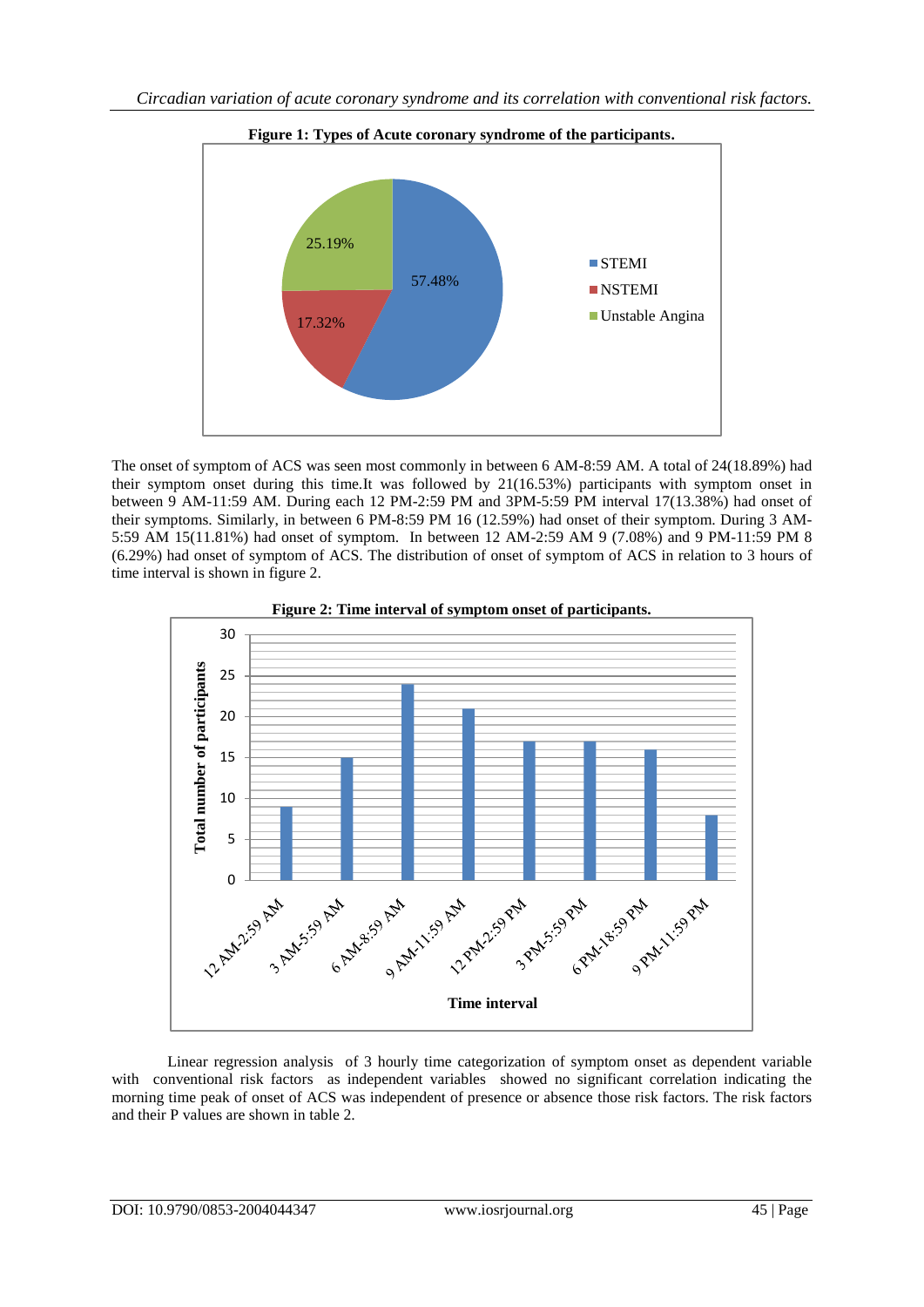

The onset of symptom of ACS was seen most commonly in between 6 AM-8:59 AM. A total of 24(18.89%) had their symptom onset during this time.It was followed by 21(16.53%) participants with symptom onset in between 9 AM-11:59 AM. During each 12 PM-2:59 PM and 3PM-5:59 PM interval 17(13.38%) had onset of their symptoms. Similarly, in between 6 PM-8:59 PM 16 (12.59%) had onset of their symptom. During 3 AM-5:59 AM 15(11.81%) had onset of symptom. In between 12 AM-2:59 AM 9 (7.08%) and 9 PM-11:59 PM 8 (6.29%) had onset of symptom of ACS. The distribution of onset of symptom of ACS in relation to 3 hours of time interval is shown in figure 2.



**Figure 2: Time interval of symptom onset of participants.**

Linear regression analysis of 3 hourly time categorization of symptom onset as dependent variable with conventional risk factors as independent variables showed no significant correlation indicating the morning time peak of onset of ACS was independent of presence or absence those risk factors. The risk factors and their P values are shown in table 2.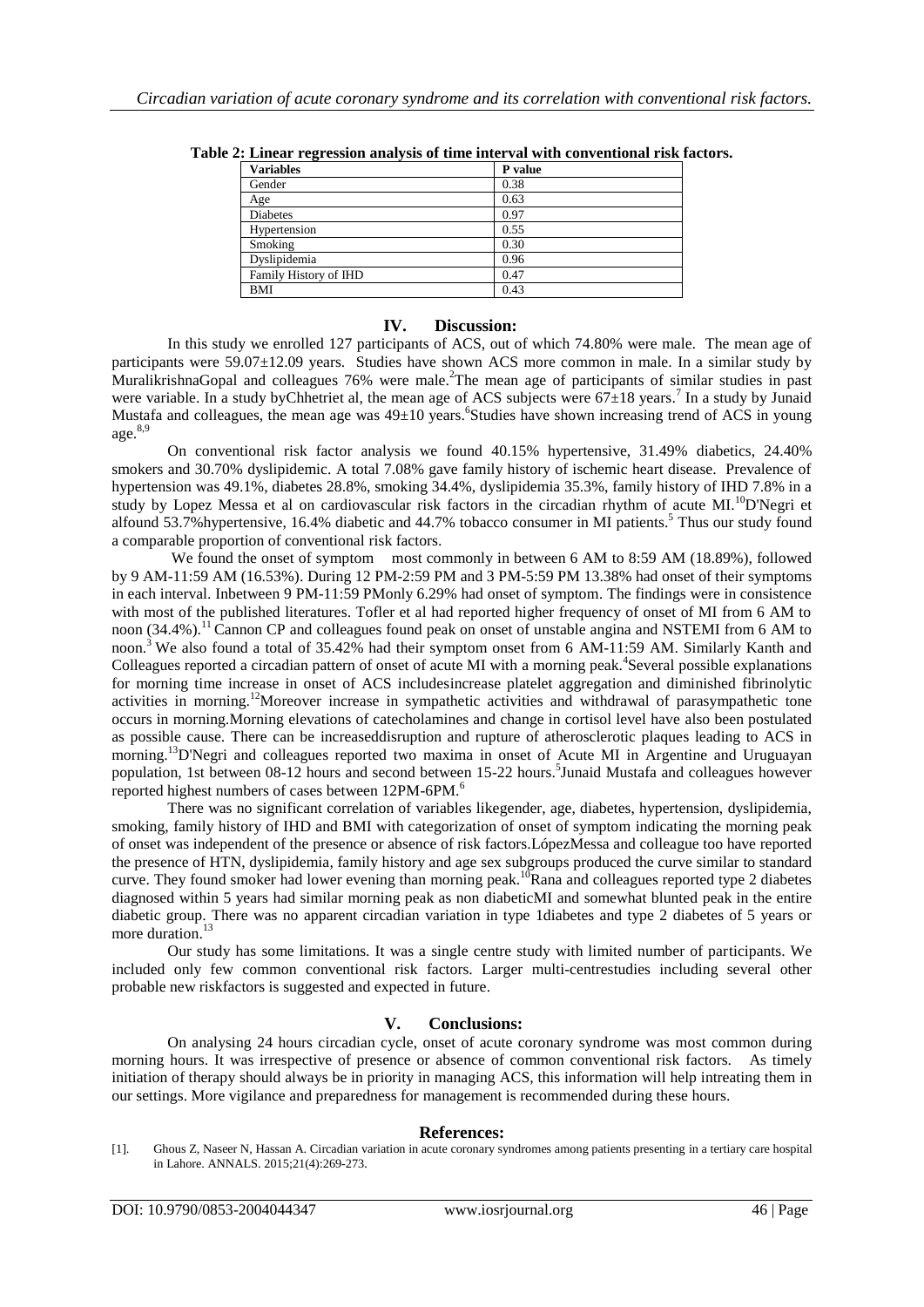| <b>Variables</b>      | P value |
|-----------------------|---------|
| Gender                | 0.38    |
| Age                   | 0.63    |
| <b>Diabetes</b>       | 0.97    |
| Hypertension          | 0.55    |
| Smoking               | 0.30    |
| Dyslipidemia          | 0.96    |
| Family History of IHD | 0.47    |
| <b>BMI</b>            | 0.43    |
|                       |         |

**Table 2: Linear regression analysis of time interval with conventional risk factors.**

### **IV. Discussion:**

In this study we enrolled 127 participants of ACS, out of which 74.80% were male. The mean age of participants were 59.07±12.09 years. Studies have shown ACS more common in male. In a similar study by MuralikrishnaGopal and colleagues 76% were male. The mean age of participants of similar studies in past were variable. In a study by Chhetriet al, the mean age of ACS subjects were  $67\pm18$  years.<sup>7</sup> In a study by Junaid Mustafa and colleagues, the mean age was 49±10 years. <sup>6</sup>Studies have shown increasing trend of ACS in young age. 8,9

On conventional risk factor analysis we found 40.15% hypertensive, 31.49% diabetics, 24.40% smokers and 30.70% dyslipidemic. A total 7.08% gave family history of ischemic heart disease. Prevalence of hypertension was 49.1%, diabetes 28.8%, smoking 34.4%, dyslipidemia 35.3%, family history of IHD 7.8% in a study by Lopez Messa et al on cardiovascular risk factors in the circadian rhythm of acute MI.<sup>10</sup>D'Negri et alfound 53.7% hypertensive, 16.4% diabetic and 44.7% tobacco consumer in MI patients.<sup>5</sup> Thus our study found a comparable proportion of conventional risk factors.

We found the onset of symptom most commonly in between 6 AM to 8:59 AM (18.89%), followed by 9 AM-11:59 AM (16.53%). During 12 PM-2:59 PM and 3 PM-5:59 PM 13.38% had onset of their symptoms in each interval. Inbetween 9 PM-11:59 PMonly 6.29% had onset of symptom. The findings were in consistence with most of the published literatures. Tofler et al had reported higher frequency of onset of MI from 6 AM to noon (34.4%).<sup>11</sup> Cannon CP and colleagues found peak on onset of unstable angina and NSTEMI from 6 AM to noon.<sup>3</sup> We also found a total of 35.42% had their symptom onset from 6 AM-11:59 AM. Similarly Kanth and Colleagues reported a circadian pattern of onset of acute MI with a morning peak.<sup>4</sup> Several possible explanations for morning time increase in onset of ACS includesincrease platelet aggregation and diminished fibrinolytic activities in morning.<sup>12</sup>Moreover increase in sympathetic activities and withdrawal of parasympathetic tone occurs in morning.Morning elevations of catecholamines and change in cortisol level have also been postulated as possible cause. There can be increaseddisruption and rupture of atherosclerotic plaques leading to ACS in morning. <sup>13</sup>D'Negri and colleagues reported two maxima in onset of Acute MI in Argentine and Uruguayan population, 1st between 08-12 hours and second between 15-22 hours. 5 Junaid Mustafa and colleagues however reported highest numbers of cases between 12PM-6PM.<sup>6</sup>

There was no significant correlation of variables likegender, age, diabetes, hypertension, dyslipidemia, smoking, family history of IHD and BMI with categorization of onset of symptom indicating the morning peak of onset was independent of the presence or absence of risk factors.LópezMessa and colleague too have reported the presence of HTN, dyslipidemia, family history and age sex subgroups produced the curve similar to standard curve. They found smoker had lower evening than morning peak.<sup>10</sup>Rana and colleagues reported type 2 diabetes diagnosed within 5 years had similar morning peak as non diabeticMI and somewhat blunted peak in the entire diabetic group. There was no apparent circadian variation in type 1diabetes and type 2 diabetes of 5 years or more duration. 13

Our study has some limitations. It was a single centre study with limited number of participants. We included only few common conventional risk factors. Larger multi-centrestudies including several other probable new riskfactors is suggested and expected in future.

## **V. Conclusions:**

On analysing 24 hours circadian cycle, onset of acute coronary syndrome was most common during morning hours. It was irrespective of presence or absence of common conventional risk factors. As timely initiation of therapy should always be in priority in managing ACS, this information will help intreating them in our settings. More vigilance and preparedness for management is recommended during these hours.

## **References:**

<sup>[1].</sup> Ghous Z, Naseer N, Hassan A. Circadian variation in acute coronary syndromes among patients presenting in a tertiary care hospital in Lahore. ANNALS. 2015;21(4):269-273.